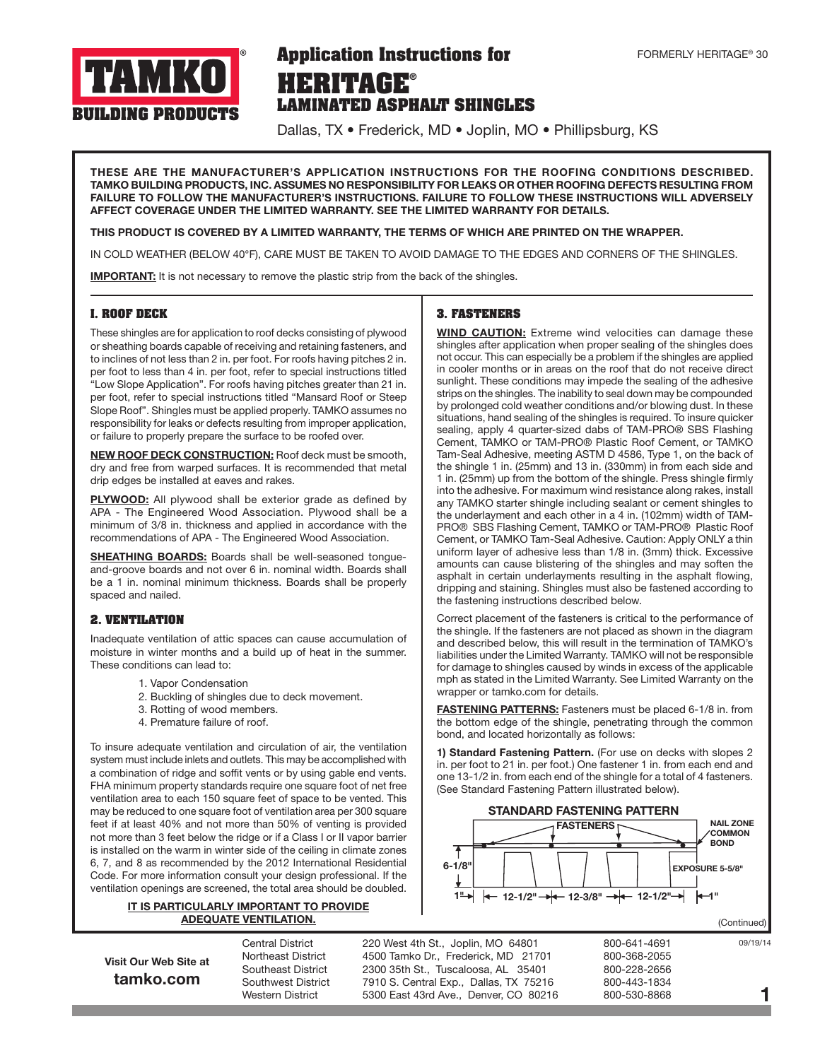

# **HERITAGE® LAMINATED ASPHALT SHINGLES Application Instructions for**

Dallas, TX • Frederick, MD • Joplin, MO • Phillipsburg, KS

THESE ARE THE MANUFACTURER'S APPLICATION INSTRUCTIONS FOR THE ROOFING CONDITIONS DESCRIBED. TAMKO BUILDING PRODUCTS, INC. ASSUMES NO RESPONSIBILITY FOR LEAKS OR OTHER ROOFING DEFECTS RESULTING FROM FAILURE TO FOLLOW THE MANUFACTURER'S INSTRUCTIONS. FAILURE TO FOLLOW THESE INSTRUCTIONS WILL ADVERSELY AFFECT COVERAGE UNDER THE LIMITED WARRANTY. SEE THE LIMITED WARRANTY FOR DETAILS.

### THIS PRODUCT IS COVERED BY A LIMITED WARRANTY, THE TERMS OF WHICH ARE PRINTED ON THE WRAPPER.

IN COLD WEATHER (BELOW 40°F), CARE MUST BE TAKEN TO AVOID DAMAGE TO THE EDGES AND CORNERS OF THE SHINGLES.

**IMPORTANT:** It is not necessary to remove the plastic strip from the back of the shingles.

### **I. ROOF DECK**

These shingles are for application to roof decks consisting of plywood or sheathing boards capable of receiving and retaining fasteners, and to inclines of not less than 2 in. per foot. For roofs having pitches 2 in. per foot to less than 4 in. per foot, refer to special instructions titled "Low Slope Application". For roofs having pitches greater than 21 in. per foot, refer to special instructions titled "Mansard Roof or Steep Slope Roof". Shingles must be applied properly. TAMKO assumes no responsibility for leaks or defects resulting from improper application, or failure to properly prepare the surface to be roofed over.

NEW ROOF DECK CONSTRUCTION: Roof deck must be smooth, dry and free from warped surfaces. It is recommended that metal drip edges be installed at eaves and rakes.

PLYWOOD: All plywood shall be exterior grade as defined by APA - The Engineered Wood Association. Plywood shall be a minimum of 3/8 in. thickness and applied in accordance with the recommendations of APA - The Engineered Wood Association.

**SHEATHING BOARDS:** Boards shall be well-seasoned tongueand-groove boards and not over 6 in. nominal width. Boards shall be a 1 in. nominal minimum thickness. Boards shall be properly spaced and nailed.

### **2. VENTILATION**

Inadequate ventilation of attic spaces can cause accumulation of moisture in winter months and a build up of heat in the summer. These conditions can lead to:

- 1. Vapor Condensation
- 2. Buckling of shingles due to deck movement.
- 3. Rotting of wood members.
- 4. Premature failure of roof.

To insure adequate ventilation and circulation of air, the ventilation system must include inlets and outlets. This may be accomplished with a combination of ridge and soffit vents or by using gable end vents. FHA minimum property standards require one square foot of net free ventilation area to each 150 square feet of space to be vented. This may be reduced to one square foot of ventilation area per 300 square feet if at least 40% and not more than 50% of venting is provided not more than 3 feet below the ridge or if a Class I or II vapor barrier is installed on the warm in winter side of the ceiling in climate zones 6, 7, and 8 as recommended by the 2012 International Residential Code. For more information consult your design professional. If the ventilation openings are screened, the total area should be doubled.

### IT IS PARTICULARLY IMPORTANT TO PROVIDE ADEQUATE VENTILATION.

Visit Our Web Site at tamko.com

Central District 220 West 4th St., Joplin, MO 64801 800-641-4691 Northeast District 4500 Tamko Dr., Frederick, MD 21701 800-368-2055 Southeast District 2300 35th St., Tuscaloosa, AL 35401 800-228-2656 Southwest District 7910 S. Central Exp., Dallas, TX 75216 800-443-1834<br>Western District 5300 East 43rd Ave., Denver, CO 80216 800-530-8868 Western District 5300 East 43rd Ave., Denver, CO 80216

**3. FASTENERS**

WIND CAUTION: Extreme wind velocities can damage these shingles after application when proper sealing of the shingles does not occur. This can especially be a problem if the shingles are applied in cooler months or in areas on the roof that do not receive direct sunlight. These conditions may impede the sealing of the adhesive strips on the shingles. The inability to seal down may be compounded by prolonged cold weather conditions and/or blowing dust. In these situations, hand sealing of the shingles is required. To insure quicker sealing, apply 4 quarter-sized dabs of TAM-PRO® SBS Flashing Cement, TAMKO or TAM-PRO® Plastic Roof Cement, or TAMKO Tam-Seal Adhesive, meeting ASTM D 4586, Type 1, on the back of the shingle 1 in. (25mm) and 13 in. (330mm) in from each side and 1 in. (25mm) up from the bottom of the shingle. Press shingle firmly into the adhesive. For maximum wind resistance along rakes, install any TAMKO starter shingle including sealant or cement shingles to the underlayment and each other in a 4 in. (102mm) width of TAM-PRO® SBS Flashing Cement, TAMKO or TAM-PRO® Plastic Roof Cement, or TAMKO Tam-Seal Adhesive. Caution: Apply ONLY a thin uniform layer of adhesive less than 1/8 in. (3mm) thick. Excessive amounts can cause blistering of the shingles and may soften the asphalt in certain underlayments resulting in the asphalt flowing, dripping and staining. Shingles must also be fastened according to the fastening instructions described below.

Correct placement of the fasteners is critical to the performance of the shingle. If the fasteners are not placed as shown in the diagram and described below, this will result in the termination of TAMKO's liabilities under the Limited Warranty. TAMKO will not be responsible for damage to shingles caused by winds in excess of the applicable mph as stated in the Limited Warranty. See Limited Warranty on the wrapper or tamko.com for details.

FASTENING PATTERNS: Fasteners must be placed 6-1/8 in. from the bottom edge of the shingle, penetrating through the common bond, and located horizontally as follows:

1) Standard Fastening Pattern. (For use on decks with slopes 2 in. per foot to 21 in. per foot.) One fastener 1 in. from each end and one 13-1/2 in. from each end of the shingle for a total of 4 fasteners. (See Standard Fastening Pattern illustrated below).



(Continued)

09/19/14

1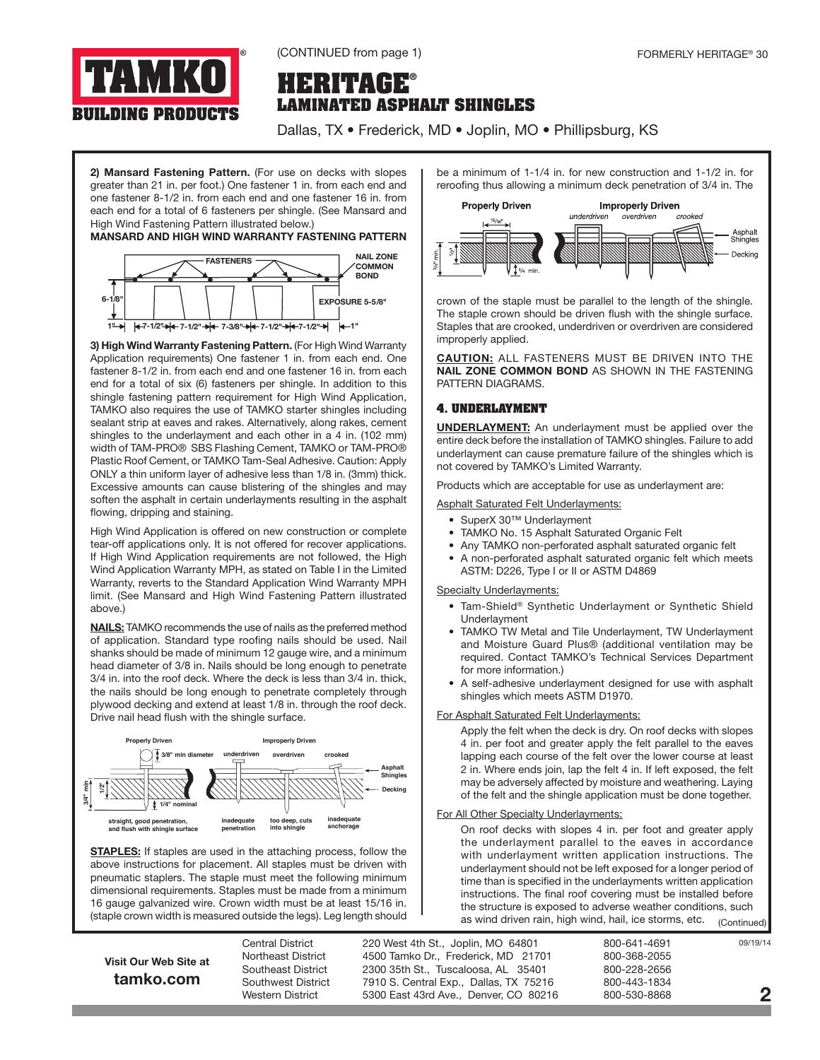

(CONTINUED from page 1)

## **HERITAGE® LAMINATED ASPHALT SHINGLES**

Dallas, TX • Frederick, MD • Joplin, MO • Phillipsburg, KS

2) Mansard Fastening Pattern. (For use on decks with slopes greater than 21 in. per foot.) One fastener 1 in. from each end and one fastener 8-1/2 in. from each end and one fastener 16 in. from each end for a total of 6 fasteners per shingle. (See Mansard and High Wind Fastening Pattern illustrated below.)

### MANSARD AND HIGH WIND WARRANTY FASTENING PATTERN



3) High Wind Warranty Fastening Pattern. (For High Wind Warranty Application requirements) One fastener 1 in. from each end. One fastener 8-1/2 in. from each end and one fastener 16 in. from each end for a total of six (6) fasteners per shingle. In addition to this shingle fastening pattern requirement for High Wind Application, TAMKO also requires the use of TAMKO starter shingles including sealant strip at eaves and rakes. Alternatively, along rakes, cement shingles to the underlayment and each other in a 4 in. (102 mm) width of TAM-PRO® SBS Flashing Cement, TAMKO or TAM-PRO® Plastic Roof Cement, or TAMKO Tam-Seal Adhesive. Caution: Apply ONLY a thin uniform layer of adhesive less than 1/8 in. (3mm) thick. Excessive amounts can cause blistering of the shingles and may soften the asphalt in certain underlayments resulting in the asphalt flowing, dripping and staining.

High Wind Application is offered on new construction or complete tear-off applications only. It is not offered for recover applications. If High Wind Application requirements are not followed, the High Wind Application Warranty MPH, as stated on Table I in the Limited Warranty, reverts to the Standard Application Wind Warranty MPH limit. (See Mansard and High Wind Fastening Pattern illustrated above.)

**NAILS:** TAMKO recommends the use of nails as the preferred method of application. Standard type roofing nails should be used. Nail shanks should be made of minimum 12 gauge wire, and a minimum head diameter of 3/8 in. Nails should be long enough to penetrate 3/4 in. into the roof deck. Where the deck is less than 3/4 in. thick, the nails should be long enough to penetrate completely through plywood decking and extend at least 1/8 in. through the roof deck. Drive nail head flush with the shingle surface.



STAPLES: If staples are used in the attaching process, follow the above instructions for placement. All staples must be driven with pneumatic staplers. The staple must meet the following minimum dimensional requirements. Staples must be made from a minimum 16 gauge galvanized wire. Crown width must be at least 15/16 in. (staple crown width is measured outside the legs). Leg length should

be a minimum of 1-1/4 in. for new construction and 1-1/2 in. for reroofing thus allowing a minimum deck penetration of 3/4 in. The



crown of the staple must be parallel to the length of the shingle. The staple crown should be driven flush with the shingle surface. Staples that are crooked, underdriven or overdriven are considered improperly applied.

CAUTION: ALL FASTENERS MUST BE DRIVEN INTO THE NAIL ZONE COMMON BOND AS SHOWN IN THE FASTENING PATTERN DIAGRAMS.

### **4. UNDERLAYMENT**

UNDERLAYMENT: An underlayment must be applied over the entire deck before the installation of TAMKO shingles. Failure to add underlayment can cause premature failure of the shingles which is not covered by TAMKO's Limited Warranty.

Products which are acceptable for use as underlayment are:

Asphalt Saturated Felt Underlayments:

- SuperX 30™ Underlayment
- TAMKO No. 15 Asphalt Saturated Organic Felt
- Any TAMKO non-perforated asphalt saturated organic felt
- A non-perforated asphalt saturated organic felt which meets ASTM: D226, Type I or II or ASTM D4869

Specialty Underlayments:

- Tam-Shield® Synthetic Underlayment or Synthetic Shield Underlayment
- TAMKO TW Metal and Tile Underlayment, TW Underlayment and Moisture Guard Plus® (additional ventilation may be required. Contact TAMKO's Technical Services Department for more information.)
- A self-adhesive underlayment designed for use with asphalt shingles which meets ASTM D1970.

### For Asphalt Saturated Felt Underlayments:

Apply the felt when the deck is dry. On roof decks with slopes 4 in. per foot and greater apply the felt parallel to the eaves lapping each course of the felt over the lower course at least 2 in. Where ends join, lap the felt 4 in. If left exposed, the felt may be adversely affected by moisture and weathering. Laying of the felt and the shingle application must be done together.

### For All Other Specialty Underlayments:

On roof decks with slopes 4 in. per foot and greater apply the underlayment parallel to the eaves in accordance with underlayment written application instructions. The underlayment should not be left exposed for a longer period of time than is specified in the underlayments written application instructions. The final roof covering must be installed before the structure is exposed to adverse weather conditions, such as wind driven rain, high wind, hail, ice storms, etc. (Continued)

Visit Our Web Site at tamko.com

Central District 220 West 4th St., Joplin, MO 64801 800-641-4691 Northeast District 4500 Tamko Dr., Frederick, MD 21701 800-368-2055 Southeast District 2300 35th St., Tuscaloosa, AL 35401 800-228-2656 Southwest District 7910 S. Central Exp., Dallas, TX 75216 800-443-1834 Western District 5300 East 43rd Ave., Denver, CO 80216 800-530-8868

09/19/14

2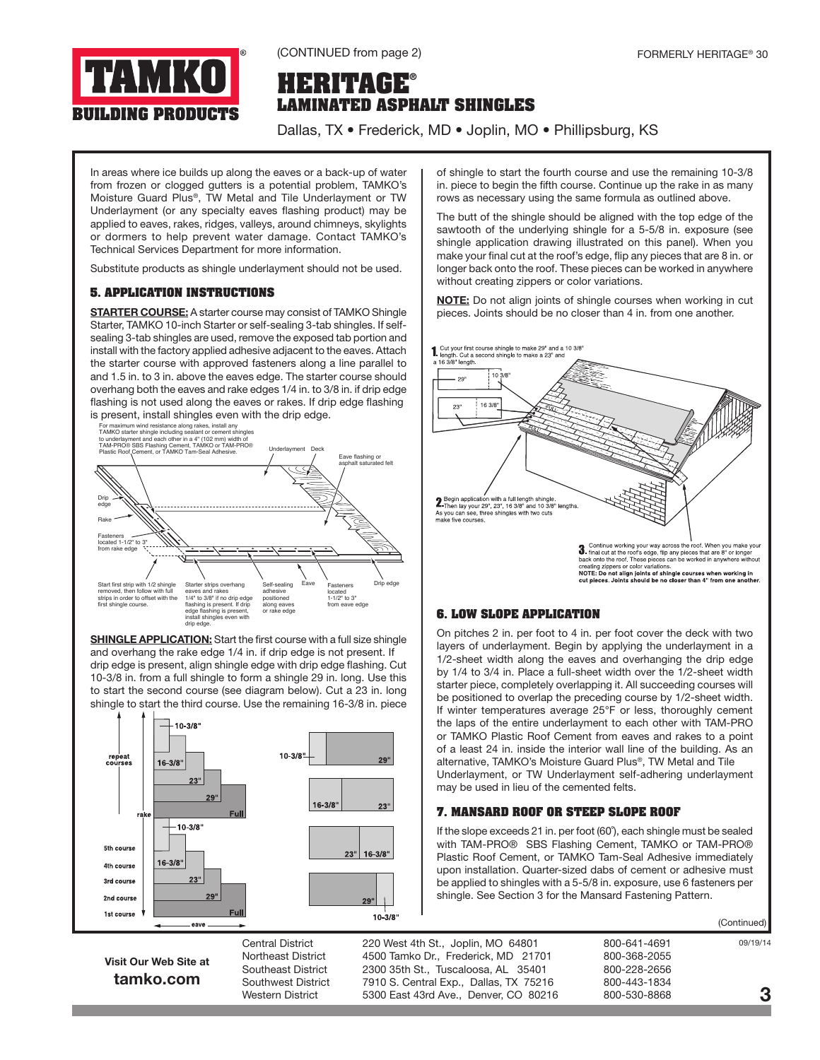

## **HERITAGE® LAMINATED ASPHALT SHINGLES**

Dallas, TX • Frederick, MD • Joplin, MO • Phillipsburg, KS

In areas where ice builds up along the eaves or a back-up of water from frozen or clogged gutters is a potential problem, TAMKO's Moisture Guard Plus®, TW Metal and Tile Underlayment or TW Underlayment (or any specialty eaves flashing product) may be applied to eaves, rakes, ridges, valleys, around chimneys, skylights or dormers to help prevent water damage. Contact TAMKO's Technical Services Department for more information.

Substitute products as shingle underlayment should not be used.

### **5. APPLICATION INSTRUCTIONS**

**STARTER COURSE:** A starter course may consist of TAMKO Shingle Starter, TAMKO 10-inch Starter or self-sealing 3-tab shingles. If selfsealing 3-tab shingles are used, remove the exposed tab portion and install with the factory applied adhesive adjacent to the eaves. Attach the starter course with approved fasteners along a line parallel to and 1.5 in. to 3 in. above the eaves edge. The starter course should overhang both the eaves and rake edges 1/4 in. to 3/8 in. if drip edge flashing is not used along the eaves or rakes. If drip edge flashing is present, install shingles even with the drip edge.



**SHINGLE APPLICATION:** Start the first course with a full size shingle and overhang the rake edge 1/4 in. if drip edge is not present. If drip edge is present, align shingle edge with drip edge flashing. Cut 10-3/8 in. from a full shingle to form a shingle 29 in. long. Use this to start the second course (see diagram below). Cut a 23 in. long shingle to start the third course. Use the remaining 16-3/8 in. piece



of shingle to start the fourth course and use the remaining 10-3/8 in. piece to begin the fifth course. Continue up the rake in as many rows as necessary using the same formula as outlined above.

The butt of the shingle should be aligned with the top edge of the sawtooth of the underlying shingle for a 5-5/8 in. exposure (see shingle application drawing illustrated on this panel). When you make your final cut at the roof's edge, flip any pieces that are 8 in. or longer back onto the roof. These pieces can be worked in anywhere without creating zippers or color variations.

NOTE: Do not align joints of shingle courses when working in cut pieces. Joints should be no closer than 4 in. from one another.



## **6. LOW SLOPE APPLICATION**

On pitches 2 in. per foot to 4 in. per foot cover the deck with two layers of underlayment. Begin by applying the underlayment in a 1/2-sheet width along the eaves and overhanging the drip edge by 1/4 to 3/4 in. Place a full-sheet width over the 1/2-sheet width starter piece, completely overlapping it. All succeeding courses will be positioned to overlap the preceding course by 1/2-sheet width. If winter temperatures average 25°F or less, thoroughly cement the laps of the entire underlayment to each other with TAM-PRO or TAMKO Plastic Roof Cement from eaves and rakes to a point of a least 24 in. inside the interior wall line of the building. As an alternative, TAMKO's Moisture Guard Plus®, TW Metal and Tile Underlayment, or TW Underlayment self-adhering underlayment may be used in lieu of the cemented felts.

### **7. MANSARD ROOF OR STEEP SLOPE ROOF**

If the slope exceeds 21 in. per foot (60˚), each shingle must be sealed with TAM-PRO® SBS Flashing Cement, TAMKO or TAM-PRO® Plastic Roof Cement, or TAMKO Tam-Seal Adhesive immediately upon installation. Quarter-sized dabs of cement or adhesive must be applied to shingles with a 5-5/8 in. exposure, use 6 fasteners per shingle. See Section 3 for the Mansard Fastening Pattern.

(Continued)

Visit Our Web Site at tamko.com

Central District 220 West 4th St., Joplin, MO 64801 800-641-4691 Northeast District 4500 Tamko Dr., Frederick, MD 21701 800-368-2055 Southeast District 2300 35th St., Tuscaloosa, AL 35401 800-228-2656 Southwest District 7910 S. Central Exp., Dallas, TX 75216 800-443-1834<br>Western District 5300 East 43rd Ave Denver CO 80216 800-530-8868 Western District 5300 East 43rd Ave., Denver, CO 80216

09/19/14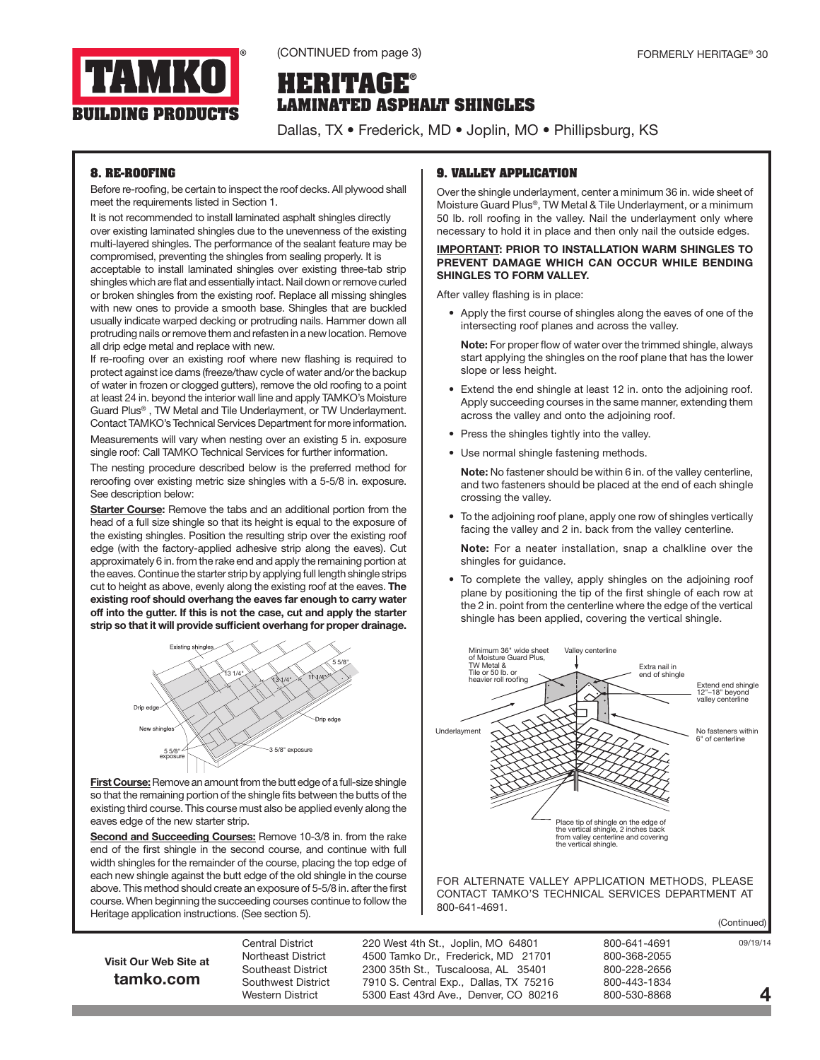

## **HERITAGE® LAMINATED ASPHALT SHINGLES**

Dallas, TX • Frederick, MD • Joplin, MO • Phillipsburg, KS

## **8. RE-ROOFING**

Before re-roofing, be certain to inspect the roof decks. All plywood shall meet the requirements listed in Section 1.

It is not recommended to install laminated asphalt shingles directly over existing laminated shingles due to the unevenness of the existing multi-layered shingles. The performance of the sealant feature may be compromised, preventing the shingles from sealing properly. It is

acceptable to install laminated shingles over existing three-tab strip shingles which are flat and essentially intact. Nail down or remove curled or broken shingles from the existing roof. Replace all missing shingles with new ones to provide a smooth base. Shingles that are buckled usually indicate warped decking or protruding nails. Hammer down all protruding nails or remove them and refasten in a new location. Remove all drip edge metal and replace with new.

If re-roofing over an existing roof where new flashing is required to protect against ice dams (freeze/thaw cycle of water and/or the backup of water in frozen or clogged gutters), remove the old roofing to a point at least 24 in. beyond the interior wall line and apply TAMKO's Moisture Guard Plus® , TW Metal and Tile Underlayment, or TW Underlayment. Contact TAMKO's Technical Services Department for more information.

Measurements will vary when nesting over an existing 5 in. exposure single roof: Call TAMKO Technical Services for further information.

The nesting procedure described below is the preferred method for reroofing over existing metric size shingles with a 5-5/8 in. exposure. See description below:

Starter Course: Remove the tabs and an additional portion from the head of a full size shingle so that its height is equal to the exposure of the existing shingles. Position the resulting strip over the existing roof edge (with the factory-applied adhesive strip along the eaves). Cut approximately 6 in. from the rake end and apply the remaining portion at the eaves. Continue the starter strip by applying full length shingle strips cut to height as above, evenly along the existing roof at the eaves. The existing roof should overhang the eaves far enough to carry water off into the gutter. If this is not the case, cut and apply the starter strip so that it will provide sufficient overhang for proper drainage.



First Course: Remove an amount from the butt edge of a full-size shingle so that the remaining portion of the shingle fits between the butts of the existing third course. This course must also be applied evenly along the eaves edge of the new starter strip.

Second and Succeeding Courses: Remove 10-3/8 in. from the rake end of the first shingle in the second course, and continue with full width shingles for the remainder of the course, placing the top edge of each new shingle against the butt edge of the old shingle in the course above. This method should create an exposure of 5-5/8 in. after the first course. When beginning the succeeding courses continue to follow the Heritage application instructions. (See section 5).

## **9. VALLEY APPLICATION**

Over the shingle underlayment, center a minimum 36 in. wide sheet of Moisture Guard Plus®, TW Metal & Tile Underlayment, or a minimum 50 lb. roll roofing in the valley. Nail the underlayment only where necessary to hold it in place and then only nail the outside edges.

#### IMPORTANT: PRIOR TO INSTALLATION WARM SHINGLES TO PREVENT DAMAGE WHICH CAN OCCUR WHILE BENDING SHINGLES TO FORM VALLEY.

After valley flashing is in place:

• Apply the first course of shingles along the eaves of one of the intersecting roof planes and across the valley.

Note: For proper flow of water over the trimmed shingle, always start applying the shingles on the roof plane that has the lower slope or less height.

- Extend the end shingle at least 12 in. onto the adjoining roof. Apply succeeding courses in the same manner, extending them across the valley and onto the adjoining roof.
- Press the shingles tightly into the valley.
- Use normal shingle fastening methods.

Note: No fastener should be within 6 in. of the valley centerline, and two fasteners should be placed at the end of each shingle crossing the valley.

• To the adjoining roof plane, apply one row of shingles vertically facing the valley and 2 in. back from the valley centerline.

Note: For a neater installation, snap a chalkline over the shingles for guidance.

To complete the valley, apply shingles on the adjoining roof plane by positioning the tip of the first shingle of each row at the 2 in. point from the centerline where the edge of the vertical shingle has been applied, covering the vertical shingle.



(Continued)

Visit Our Web Site at tamko.com

Central District 220 West 4th St., Joplin, MO 64801 800-641-4691 Northeast District 4500 Tamko Dr., Frederick, MD 21701 800-368-2055 Southeast District 2300 35th St., Tuscaloosa, AL 35401 800-228-2656 Southwest District a at 0.5. Central Exp., Dallas, TX 75216 800-443-1834<br>Western District a beat 43rd Ave., Denver, CO 80216 800-530-8868 Western District 5300 East 43rd Ave., Denver, CO 80216

4

09/19/14